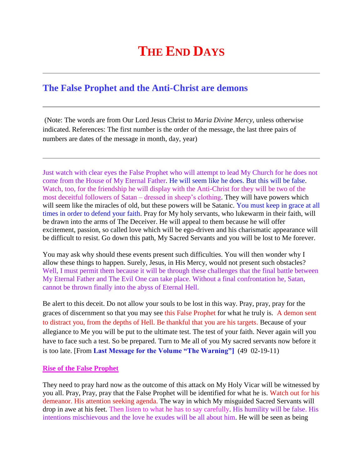## **THE END DAYS**

## **The False Prophet and the Anti-Christ are demons**

(Note: The words are from Our Lord Jesus Christ to *Maria Divine Mercy*, unless otherwise indicated. References: The first number is the order of the message, the last three pairs of numbers are dates of the message in month, day, year)

Just watch with clear eyes the False Prophet who will attempt to lead My Church for he does not come from the House of My Eternal Father. He will seem like he does. But this will be false. Watch, too, for the friendship he will display with the Anti-Christ for they will be two of the most deceitful followers of Satan – dressed in sheep's clothing. They will have powers which will seem like the miracles of old, but these powers will be Satanic. You must keep in grace at all times in order to defend your faith. Pray for My holy servants, who lukewarm in their faith, will be drawn into the arms of The Deceiver. He will appeal to them because he will offer excitement, passion, so called love which will be ego-driven and his charismatic appearance will be difficult to resist. Go down this path, My Sacred Servants and you will be lost to Me forever.

You may ask why should these events present such difficulties. You will then wonder why I allow these things to happen. Surely, Jesus, in His Mercy, would not present such obstacles? Well, I must permit them because it will be through these challenges that the final battle between My Eternal Father and The Evil One can take place. Without a final confrontation he, Satan, cannot be thrown finally into the abyss of Eternal Hell.

Be alert to this deceit. Do not allow your souls to be lost in this way. Pray, pray, pray for the graces of discernment so that you may see this False Prophet for what he truly is. A demon sent to distract you, from the depths of Hell. Be thankful that you are his targets. Because of your allegiance to Me you will be put to the ultimate test. The test of your faith. Never again will you have to face such a test. So be prepared. Turn to Me all of you My sacred servants now before it is too late. [From **[Last Message for the Volume "The Warning"\]](http://www.thewarningsecondcoming.com/last-message-for-the-volume-the-warning/)** (49 02-19-11)

## **Rise of the False Prophet**

They need to pray hard now as the outcome of this attack on My Holy Vicar will be witnessed by you all. Pray, Pray, pray that the False Prophet will be identified for what he is. Watch out for his demeanor. His attention seeking agenda. The way in which My misguided Sacred Servants will drop in awe at his feet. Then listen to what he has to say carefully. His humility will be false. His intentions mischievous and the love he exudes will be all about him. He will be seen as being